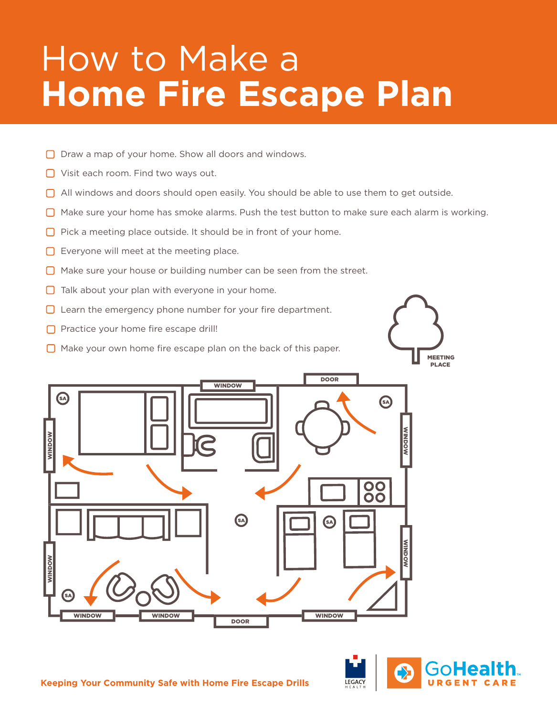# How to Make a **Home Fire Escape Plan**

- $\Box$  Draw a map of your home. Show all doors and windows.
- □ Visit each room. Find two ways out.
- All windows and doors should open easily. You should be able to use them to get outside.
- $\Box$  Make sure your home has smoke alarms. Push the test button to make sure each alarm is working.
- $\Box$  Pick a meeting place outside. It should be in front of your home.
- $\Box$  Everyone will meet at the meeting place.
- $\Box$  Make sure your house or building number can be seen from the street.
- $\Box$  Talk about your plan with everyone in your home.
- $\Box$  Learn the emergency phone number for your fire department.
- $\Box$  Practice your home fire escape drill!
- $\Box$  Make your own home fire escape plan on the back of this paper.





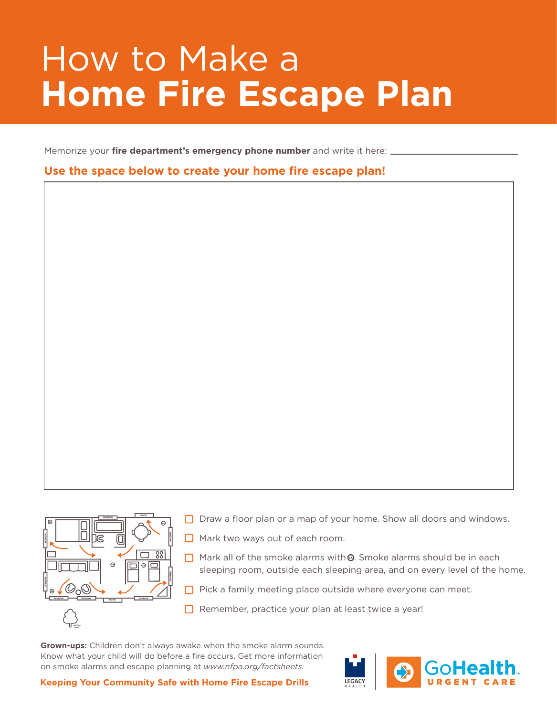### How to Make a **Home Fire Escape Plan**

Memorize your *fire department's emergency phone number* and write it here:

#### **Use the space below to create your home fire escape plan!**



□ Draw a floor plan or a map of your home. Show all doors and windows.

- **O** Mark two ways out of each room.
- $\Box$  Mark all of the smoke alarms with  $\Theta$ . Smoke alarms should be in each sleeping room, outside each sleeping area, and on every level of the home.
- $\Box$  Pick a family meeting place outside where everyone can meet.
- $\Box$  Remember, practice your plan at least twice a year!

**Grown-ups:** Children don't always awake when the smoke alarm sounds. Know what your child will do before a fire occurs. Get more information on smoke alarms and escape planning at *www.nfpa.org/factsheets.*



**Keeping Your Community Safe with Home Fire Escape Drills**